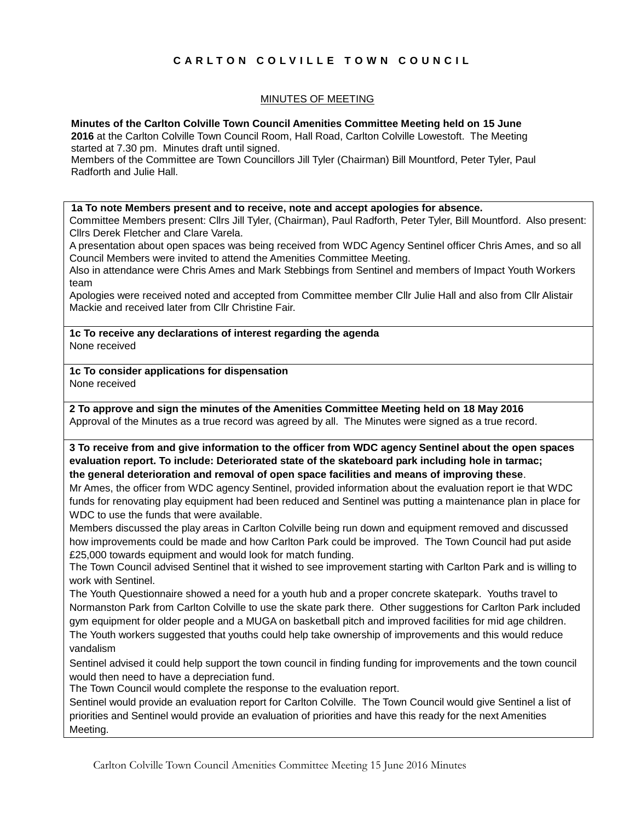# **C A R L T O N C O L V I L L E T O W N C O U N C I L**

#### MINUTES OF MEETING

#### **Minutes of the Carlton Colville Town Council Amenities Committee Meeting held on 15 June**

**2016** at the Carlton Colville Town Council Room, Hall Road, Carlton Colville Lowestoft. The Meeting started at 7.30 pm. Minutes draft until signed.

Members of the Committee are Town Councillors Jill Tyler (Chairman) Bill Mountford, Peter Tyler, Paul Radforth and Julie Hall.

#### **1a To note Members present and to receive, note and accept apologies for absence.**

Committee Members present: Cllrs Jill Tyler, (Chairman), Paul Radforth, Peter Tyler, Bill Mountford. Also present: Cllrs Derek Fletcher and Clare Varela.

A presentation about open spaces was being received from WDC Agency Sentinel officer Chris Ames, and so all Council Members were invited to attend the Amenities Committee Meeting.

Also in attendance were Chris Ames and Mark Stebbings from Sentinel and members of Impact Youth Workers team

Apologies were received noted and accepted from Committee member Cllr Julie Hall and also from Cllr Alistair Mackie and received later from Cllr Christine Fair.

**1c To receive any declarations of interest regarding the agenda** None received

**1c To consider applications for dispensation** None received

**2 To approve and sign the minutes of the Amenities Committee Meeting held on 18 May 2016** Approval of the Minutes as a true record was agreed by all. The Minutes were signed as a true record.

**3 To receive from and give information to the officer from WDC agency Sentinel about the open spaces evaluation report. To include: Deteriorated state of the skateboard park including hole in tarmac; the general deterioration and removal of open space facilities and means of improving these**.

Mr Ames, the officer from WDC agency Sentinel, provided information about the evaluation report ie that WDC funds for renovating play equipment had been reduced and Sentinel was putting a maintenance plan in place for WDC to use the funds that were available.

Members discussed the play areas in Carlton Colville being run down and equipment removed and discussed how improvements could be made and how Carlton Park could be improved. The Town Council had put aside £25,000 towards equipment and would look for match funding.

The Town Council advised Sentinel that it wished to see improvement starting with Carlton Park and is willing to work with Sentinel.

The Youth Questionnaire showed a need for a youth hub and a proper concrete skatepark. Youths travel to Normanston Park from Carlton Colville to use the skate park there. Other suggestions for Carlton Park included gym equipment for older people and a MUGA on basketball pitch and improved facilities for mid age children.

The Youth workers suggested that youths could help take ownership of improvements and this would reduce vandalism

Sentinel advised it could help support the town council in finding funding for improvements and the town council would then need to have a depreciation fund.

The Town Council would complete the response to the evaluation report.

Sentinel would provide an evaluation report for Carlton Colville. The Town Council would give Sentinel a list of priorities and Sentinel would provide an evaluation of priorities and have this ready for the next Amenities Meeting.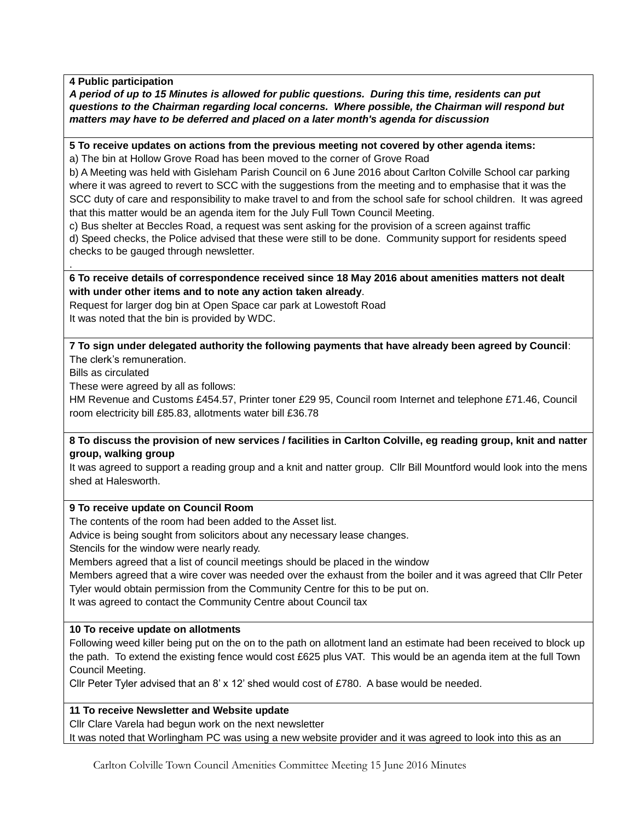### **4 Public participation**

*A period of up to 15 Minutes is allowed for public questions. During this time, residents can put questions to the Chairman regarding local concerns. Where possible, the Chairman will respond but matters may have to be deferred and placed on a later month's agenda for discussion*

### **5 To receive updates on actions from the previous meeting not covered by other agenda items:**

a) The bin at Hollow Grove Road has been moved to the corner of Grove Road

b) A Meeting was held with Gisleham Parish Council on 6 June 2016 about Carlton Colville School car parking where it was agreed to revert to SCC with the suggestions from the meeting and to emphasise that it was the SCC duty of care and responsibility to make travel to and from the school safe for school children. It was agreed that this matter would be an agenda item for the July Full Town Council Meeting.

c) Bus shelter at Beccles Road, a request was sent asking for the provision of a screen against traffic

d) Speed checks, the Police advised that these were still to be done. Community support for residents speed checks to be gauged through newsletter.

### **6 To receive details of correspondence received since 18 May 2016 about amenities matters not dealt with under other items and to note any action taken already**.

Request for larger dog bin at Open Space car park at Lowestoft Road It was noted that the bin is provided by WDC.

**7 To sign under delegated authority the following payments that have already been agreed by Council**: The clerk's remuneration.

Bills as circulated

.

These were agreed by all as follows:

HM Revenue and Customs £454.57, Printer toner £29 95, Council room Internet and telephone £71.46, Council room electricity bill £85.83, allotments water bill £36.78

### **8 To discuss the provision of new services / facilities in Carlton Colville, eg reading group, knit and natter group, walking group**

It was agreed to support a reading group and a knit and natter group. Cllr Bill Mountford would look into the mens shed at Halesworth.

# **9 To receive update on Council Room**

The contents of the room had been added to the Asset list.

Advice is being sought from solicitors about any necessary lease changes.

Stencils for the window were nearly ready.

Members agreed that a list of council meetings should be placed in the window

Members agreed that a wire cover was needed over the exhaust from the boiler and it was agreed that Cllr Peter Tyler would obtain permission from the Community Centre for this to be put on.

It was agreed to contact the Community Centre about Council tax

# **10 To receive update on allotments**

Following weed killer being put on the on to the path on allotment land an estimate had been received to block up the path. To extend the existing fence would cost £625 plus VAT. This would be an agenda item at the full Town Council Meeting.

Cllr Peter Tyler advised that an 8' x 12' shed would cost of £780. A base would be needed.

# **11 To receive Newsletter and Website update**

Cllr Clare Varela had begun work on the next newsletter It was noted that Worlingham PC was using a new website provider and it was agreed to look into this as an

Carlton Colville Town Council Amenities Committee Meeting 15 June 2016 Minutes